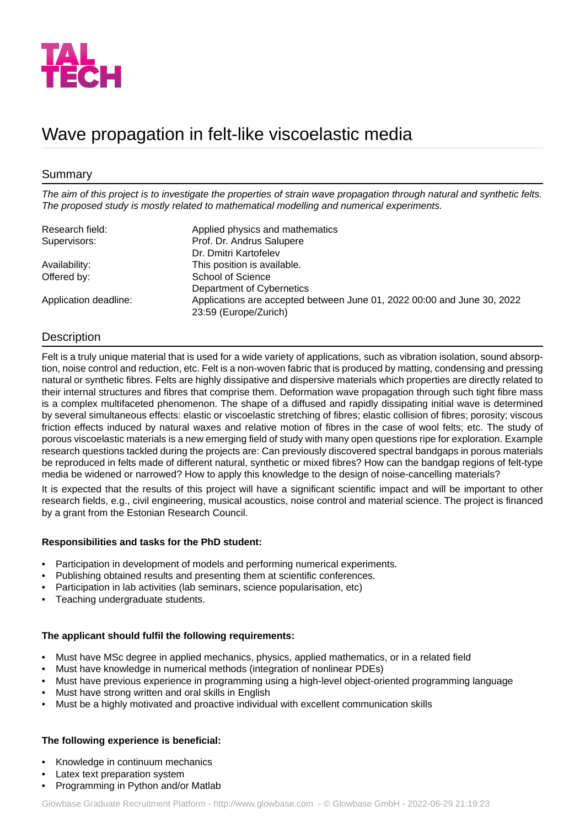

# Wave propagation in felt-like viscoelastic media

# Summary

*The aim of this project is to investigate the properties of strain wave propagation through natural and synthetic felts. The proposed study is mostly related to mathematical modelling and numerical experiments.*

| Research field:       | Applied physics and mathematics                                                                  |
|-----------------------|--------------------------------------------------------------------------------------------------|
| Supervisors:          | Prof. Dr. Andrus Salupere                                                                        |
|                       | Dr. Dmitri Kartofelev                                                                            |
| Availability:         | This position is available.                                                                      |
| Offered by:           | School of Science                                                                                |
|                       | Department of Cybernetics                                                                        |
| Application deadline: | Applications are accepted between June 01, 2022 00:00 and June 30, 2022<br>23:59 (Europe/Zurich) |

# Description

Felt is a truly unique material that is used for a wide variety of applications, such as vibration isolation, sound absorption, noise control and reduction, etc. Felt is a non-woven fabric that is produced by matting, condensing and pressing natural or synthetic fibres. Felts are highly dissipative and dispersive materials which properties are directly related to their internal structures and fibres that comprise them. Deformation wave propagation through such tight fibre mass is a complex multifaceted phenomenon. The shape of a diffused and rapidly dissipating initial wave is determined by several simultaneous effects: elastic or viscoelastic stretching of fibres; elastic collision of fibres; porosity; viscous friction effects induced by natural waxes and relative motion of fibres in the case of wool felts; etc. The study of porous viscoelastic materials is a new emerging field of study with many open questions ripe for exploration. Example research questions tackled during the projects are: Can previously discovered spectral bandgaps in porous materials be reproduced in felts made of different natural, synthetic or mixed fibres? How can the bandgap regions of felt-type media be widened or narrowed? How to apply this knowledge to the design of noise-cancelling materials?

It is expected that the results of this project will have a significant scientific impact and will be important to other research fields, e.g., civil engineering, musical acoustics, noise control and material science. The project is financed by a grant from the Estonian Research Council.

### **Responsibilities and tasks for the PhD student:**

- Participation in development of models and performing numerical experiments.
- Publishing obtained results and presenting them at scientific conferences.
- Participation in lab activities (lab seminars, science popularisation, etc)
- Teaching undergraduate students.

### **The applicant should fulfil the following requirements:**

- Must have MSc degree in applied mechanics, physics, applied mathematics, or in a related field
- Must have knowledge in numerical methods (integration of nonlinear PDEs)
- Must have previous experience in programming using a high-level object-oriented programming language
- Must have strong written and oral skills in English
- Must be a highly motivated and proactive individual with excellent communication skills

### **The following experience is beneficial:**

- Knowledge in continuum mechanics
- Latex text preparation system
- Programming in Python and/or Matlab

Glowbase Graduate Recruitment Platform -<http://www.glowbase.com> - © Glowbase GmbH - 2022-06-29 21:19:23